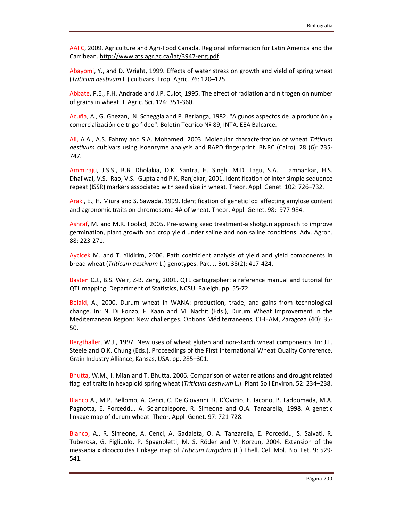AAFC, 2009. Agriculture and Agri-Food Canada. Regional information for Latin America and the Carribean. http://www.ats.agr.gc.ca/lat/3947-eng.pdf.

Abayomi, Y., and D. Wright, 1999. Effects of water stress on growth and yield of spring wheat (*Triticum aestivum* L.) cultivars. Trop. Agric. 76: 120–125.

Abbate, P.E., F.H. Andrade and J.P. Culot, 1995. The effect of radiation and nitrogen on number of grains in wheat. J. Agric. Sci. 124: 351-360.

Acuña, A., G. Ghezan, N. Scheggia and P. Berlanga, 1982. "Algunos aspectos de la producción y comercialización de trigo fideo". Boletín Técnico Nº 89, INTA, EEA Balcarce.

Ali, A.A., A.S. Fahmy and S.A. Mohamed, 2003. Molecular characterization of wheat *Triticum aestivum* cultivars using isoenzyme analysis and RAPD fingerprint. BNRC (Cairo), 28 (6): 735- 747.

Ammiraju, J.S.S., B.B. Dholakia, D.K. Santra, H. Singh, M.D. Lagu, S.A. Tamhankar, H.S. Dhaliwal, V.S. Rao, V.S. Gupta and P.K. Ranjekar, 2001. Identification of inter simple sequence repeat (ISSR) markers associated with seed size in wheat. Theor. Appl. Genet. 102: 726–732.

Araki, E., H. Miura and S. Sawada, 1999. Identification of genetic loci affecting amylose content and agronomic traits on chromosome 4A of wheat. Theor. Appl. Genet. 98: 977-984.

Ashraf, M. and M.R. Foolad, 2005. Pre-sowing seed treatment-a shotgun approach to improve germination, plant growth and crop yield under saline and non saline conditions. Adv. Agron. 88: 223-271.

Aycicek M. and T. Yildirim, 2006. Path coefficient analysis of yield and yield components in bread wheat (*Triticum aestivum* L.) genotypes. Pak. J. Bot. 38(2): 417-424.

Basten C.J., B.S. Weir, Z-B. Zeng, 2001. QTL cartographer: a reference manual and tutorial for QTL mapping. Department of Statistics, NCSU, Raleigh. pp. 55-72.

Belaid, A., 2000. Durum wheat in WANA: production, trade, and gains from technological change. In: N. Di Fonzo, F. Kaan and M. Nachit (Eds.), Durum Wheat Improvement in the Mediterranean Region: New challenges. Options Méditerraneens, CIHEAM, Zaragoza (40): 35- 50.

Bergthaller, W.J., 1997. New uses of wheat gluten and non-starch wheat components. In: J.L. Steele and O.K. Chung (Eds.), Proceedings of the First International Wheat Quality Conference. Grain Industry Alliance, Kansas, USA. pp. 285–301.

Bhutta, W.M., I. Mian and T. Bhutta, 2006. Comparison of water relations and drought related flag leaf traits in hexaploid spring wheat (*Triticum aestivum* L.). Plant Soil Environ. 52: 234–238.

Blanco A., M.P. Bellomo, A. Cenci, C. De Giovanni, R. D'Ovidio, E. Iacono, B. Laddomada, M.A. Pagnotta, E. Porceddu, A. Sciancalepore, R. Simeone and O.A. Tanzarella, 1998. A genetic linkage map of durum wheat. Theor. Appl .Genet. 97: 721-728.

Blanco, A., R. Simeone, A. Cenci, A. Gadaleta, O. A. Tanzarella, E. Porceddu, S. Salvati, R. Tuberosa, G. Figliuolo, P. Spagnoletti, M. S. Röder and V. Korzun, 2004. Extension of the messapia x dicoccoides Linkage map of *Triticum turgidum* (L.) Thell. Cel. Mol. Bio. Let. 9: 529- 541.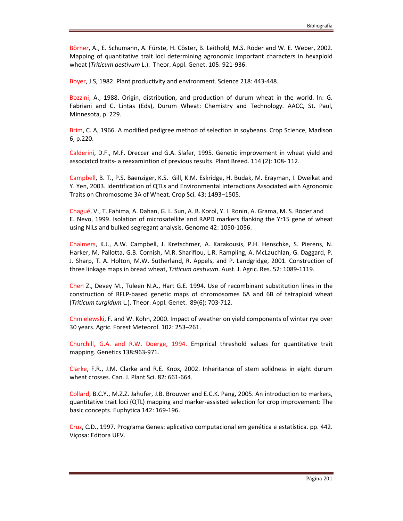Börner, A., E. Schumann, A. Fürste, H. Cöster, B. Leithold, M.S. Röder and W. E. Weber, 2002. Mapping of quantitative trait loci determining agronomic important characters in hexaploid wheat (*Triticum aestivum* L.). Theor. Appl. Genet. 105: 921-936.

Boyer, J.S, 1982. Plant productivity and environment. Science 218: 443-448.

Bozzini, A., 1988. Origin, distribution, and production of durum wheat in the world. ln: G. Fabriani and C. Lintas (Eds), Durum Wheat: Chemistry and Technology. AACC, St. Paul, Minnesota, p. 229.

Brim, C. A, 1966. A modified pedigree method of selection in soybeans. Crop Science, Madison 6, p.220.

Calderini, D.F., M.F. Dreccer and G.A. Slafer, 1995. Genetic improvement in wheat yield and associatcd traits- a reexamintion of previous results. Plant Breed. 114 (2): 108- 112.

Campbell, B. T., P.S. Baenziger, K.S. Gill, K.M. Eskridge, H. Budak, M. Erayman, I. Dweikat and Y. Yen, 2003. Identification of QTLs and Environmental Interactions Associated with Agronomic Traits on Chromosome 3A of Wheat. Crop Sci. 43: 1493–1505.

Chagué, V., T. Fahima, A. Dahan, G. L. Sun, A. B. Korol, Y. I. Ronin, A. Grama, M. S. Röder and E. Nevo, 1999. Isolation of microsatellite and RAPD markers flanking the Yr15 gene of wheat using NILs and bulked segregant analysis. Genome 42: 1050-1056.

Chalmers, K.J., A.W. Campbell, J. Kretschmer, A. Karakousis, P.H. Henschke, S. Pierens, N. Harker, M. Pallotta, G.B. Cornish, M.R. Shariflou, L.R. Rampling, A. McLauchlan, G. Daggard, P. J. Sharp, T. A. Holton, M.W. Sutherland, R. Appels, and P. Landgridge, 2001. Construction of three linkage maps in bread wheat, *Triticum aestivum*. Aust. J. Agric. Res. 52: 1089-1119.

Chen Z., Devey M., Tuleen N.A., Hart G.E. 1994. Use of recombinant substitution lines in the construction of RFLP-based genetic maps of chromosomes 6A and 6B of tetraploid wheat (*Triticum turgidum* L.). Theor. Appl. Genet. 89(6): 703-712.

Chmielewski, F. and W. Kohn, 2000. Impact of weather on yield components of winter rye over 30 years. Agric. Forest Meteorol. 102: 253–261.

Churchill, G.A. and R.W. Doerge, 1994. Empirical threshold values for quantitative trait mapping. Genetics 138**:**963-971.

Clarke, F.R., J.M. Clarke and R.E. Knox, 2002. Inheritance of stem solidness in eight durum wheat crosses. Can. J. Plant Sci. 82: 661-664.

Collard, B.C.Y., M.Z.Z. Jahufer, J.B. Brouwer and E.C.K. Pang, 2005. An introduction to markers, quantitative trait loci (QTL) mapping and marker-assisted selection for crop improvement: The basic concepts. Euphytica 142: 169-196.

Cruz, C.D., 1997. Programa Genes: aplicativo computacional em genética e estatística. pp. 442. Viçosa: Editora UFV.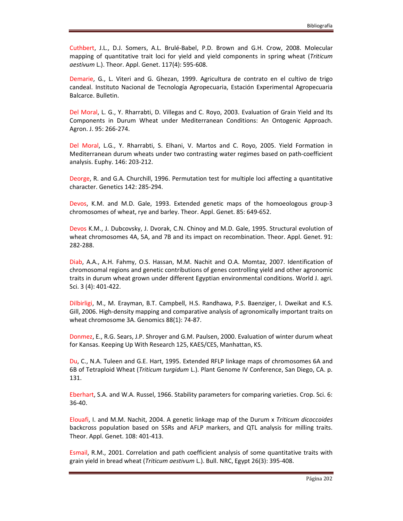Cuthbert, J.L., D.J. Somers, A.L. Brulé-Babel, P.D. Brown and G.H. Crow, 2008. Molecular mapping of quantitative trait loci for yield and yield components in spring wheat (*Triticum aestivum* L.). Theor. Appl. Genet. 117(4): 595-608.

Demarie, G., L. Viteri and G. Ghezan, 1999. Agricultura de contrato en el cultivo de trigo candeal. Instituto Nacional de Tecnología Agropecuaria, Estación Experimental Agropecuaria Balcarce. Bulletin.

Del Moral, L. G., Y. Rharrabti, D. Villegas and C. Royo, 2003. Evaluation of Grain Yield and Its Components in Durum Wheat under Mediterranean Conditions: An Ontogenic Approach. Agron. J. 95: 266-274.

Del Moral, L.G., Y. Rharrabti, S. Elhani, V. Martos and C. Royo, 2005. Yield Formation in Mediterranean durum wheats under two contrasting water regimes based on path-coefficient analysis. Euphy. 146: 203-212.

Deorge, R. and G.A. Churchill, 1996. Permutation test for multiple loci affecting a quantitative character. Genetics 142: 285-294.

Devos, K.M. and M.D. Gale, 1993. Extended genetic maps of the homoeologous group-3 chromosomes of wheat, rye and barley. Theor. Appl. Genet. 85: 649-652.

Devos K.M., J. Dubcovsky, J. Dvorak, C.N. Chinoy and M.D. Gale, 1995. Structural evolution of wheat chromosomes 4A, 5A, and 7B and its impact on recombination. Theor. Appl. Genet. 91: 282-288.

Diab, A.A., A.H. Fahmy, O.S. Hassan, M.M. Nachit and O.A. Momtaz, 2007. Identification of chromosomal regions and genetic contributions of genes controlling yield and other agronomic traits in durum wheat grown under different Egyptian environmental conditions. World J. agri. Sci. 3 (4): 401-422.

Dilbirligi, M., M. Erayman, B.T. Campbell, H.S. Randhawa, P.S. Baenziger, I. Dweikat and K.S. Gill, 2006. High-density mapping and comparative analysis of agronomically important traits on wheat chromosome 3A. Genomics 88(1): 74-87.

Donmez, E., R.G. Sears, J.P. Shroyer and G.M. Paulsen, 2000. Evaluation of winter durum wheat for Kansas. Keeping Up With Research 125, KAES/CES, Manhattan, KS.

Du, C., N.A. Tuleen and G.E. Hart, 1995. Extended RFLP linkage maps of chromosomes 6A and 6B of Tetraploid Wheat (*Triticum turgidum* L.). Plant Genome IV Conference, San Diego, CA. p. 131.

Eberhart, S.A. and W.A. Russel, 1966. Stability parameters for comparing varieties. Crop. Sci. 6: 36-40.

Elouafi, I. and M.M. Nachit, 2004. A genetic linkage map of the Durum x *Triticum dicoccoides* backcross population based on SSRs and AFLP markers, and QTL analysis for milling traits. Theor. Appl. Genet. 108: 401-413.

Esmail, R.M., 2001. Correlation and path coefficient analysis of some quantitative traits with grain yield in bread wheat (*Triticum aestivum* L.). Bull. NRC, Egypt 26(3): 395-408.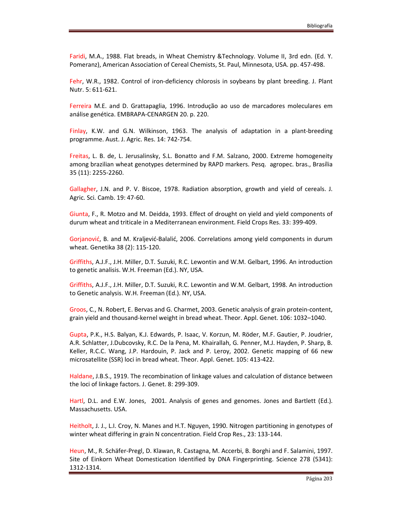Faridi, M.A., 1988. Flat breads, in Wheat Chemistry &Technology. Volume II, 3rd edn. (Ed. Y. Pomeranz), American Association of Cereal Chemists, St. Paul, Minnesota, USA. pp. 457-498.

Fehr, W.R., 1982. Control of iron-deficiency chlorosis in soybeans by plant breeding. J. Plant Nutr. 5: 611-621.

Ferreira M.E. and D. Grattapaglia, 1996. Introdução ao uso de marcadores moleculares em análise genética. EMBRAPA-CENARGEN 20. p. 220.

Finlay, K.W. and G.N. Wilkinson, 1963. The analysis of adaptation in a plant-breeding programme. Aust. J. Agric. Res. 14: 742-754.

Freitas, L. B. de, L. Jerusalinsky, S.L. Bonatto and F.M. Salzano, 2000. Extreme homogeneity among brazilian wheat genotypes determined by RAPD markers. Pesq. agropec. bras., Brasília 35 (11): 2255-2260.

Gallagher, J.N. and P. V. Biscoe, 1978. Radiation absorption, growth and yield of cereals. J. Agric. Sci. Camb. 19: 47-60.

Giunta, F., R. Motzo and M. Deidda, 1993. Effect of drought on yield and yield components of durum wheat and triticale in a Mediterranean environment. Field Crops Res. 33: 399-409.

Gorjanović, B. and M. Kraljević-Balalić, 2006. Correlations among yield components in durum wheat. Genetika 38 (2): 115-120.

Griffiths, A.J.F., J.H. Miller, D.T. Suzuki, R.C. Lewontin and W.M. Gelbart, 1996. An introduction to genetic analisis. W.H. Freeman (Ed.). NY, USA.

Griffiths, A.J.F., J.H. Miller, D.T. Suzuki, R.C. Lewontin and W.M. Gelbart, 1998. An introduction to Genetic analysis. W.H. Freeman (Ed.). NY, USA.

Groos, C., N. Robert, E. Bervas and G. Charmet, 2003. Genetic analysis of grain protein-content, grain yield and thousand-kernel weight in bread wheat. Theor. Appl. Genet. 106: 1032–1040.

Gupta, P.K., H.S. Balyan, K.J. Edwards, P. Isaac, V. Korzun, M. Röder, M.F. Gautier, P. Joudrier, A.R. Schlatter, J.Dubcovsky, R.C. De la Pena, M. Khairallah, G. Penner, M.J. Hayden, P. Sharp, B. Keller, R.C.C. Wang, J.P. Hardouin, P. Jack and P. Leroy, 2002. Genetic mapping of 66 new microsatellite (SSR) loci in bread wheat. Theor. Appl. Genet. 105: 413-422.

Haldane, J.B.S., 1919. The recombination of linkage values and calculation of distance between the loci of linkage factors. J. Genet. 8: 299-309.

Hartl, D.L. and E.W. Jones, 2001. Analysis of genes and genomes. Jones and Bartlett (Ed.). Massachusetts. USA.

Heitholt, J. J., L.I. Croy, N. Manes and H.T. Nguyen, 1990. Nitrogen partitioning in genotypes of winter wheat differing in grain N concentration. Field Crop Res., 23: 133-144.

Heun, M., R. Schäfer-Pregl, D. Klawan, R. Castagna, M. Accerbi, B. Borghi and F. Salamini, 1997. Site of Einkorn Wheat Domestication Identified by DNA Fingerprinting. Science 278 (5341): 1312-1314.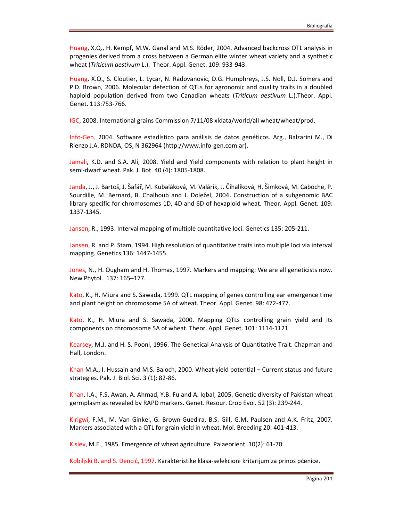Huang, X.Q., H. Kempf, M.W. Ganal and M.S. Röder, 2004. Advanced backcross QTL analysis in progenies derived from a cross between a German elite winter wheat variety and a synthetic wheat (*Triticum aestivum* L.). Theor. Appl. Genet. 109: 933-943.

Huang, X.Q., S. Cloutier, L. Lycar, N. Radovanovic, D.G. Humphreys, J.S. Noll, D.J. Somers and P.D. Brown, 2006. Molecular detection of QTLs for agronomic and quality traits in a doubled haploid population derived from two Canadian wheats (*Triticum aestivum* L.).Theor. Appl. Genet. 113:753-766.

IGC, 2008. International grains Commission 7/11/08 xldata/world/all wheat/wheat/prod.

Info-Gen. 2004. Software estadístico para análisis de datos genéticos. Arg., Balzarini M., Di Rienzo J.A. RDNDA, OS, N 362964 (http://www.info-gen.com.ar).

Jamali, K.D. and S.A. Ali, 2008. Yield and Yield components with relation to plant height in semi-dwarf wheat. Pak. J. Bot. 40 (4): 1805-1808.

Janda, J., J. Bartoš, J. Šafář, M. Kubaláková, M. Valárik, J. Číhalíková, H. Šimková, M. Caboche, P. Sourdille, M. Bernard, B. Chalhoub and J. Doležel, 2004**.** Construction of a subgenomic BAC library specific for chromosomes 1D, 4D and 6D of hexaploid wheat. Theor. Appl. Genet. 109: 1337-1345.

Jansen, R., 1993. Interval mapping of multiple quantitative loci. Genetics 135: 205-211.

Jansen, R. and P. Stam, 1994. High resolution of quantitative traits into multiple loci via interval mapping. Genetics 136: 1447-1455.

Jones, N., H. Ougham and H. Thomas, 1997. Markers and mapping: We are all geneticists now. New Phytol. 137: 165–177.

Kato, K., H. Miura and S. Sawada, 1999. QTL mapping of genes controlling ear emergence time and plant height on chromosome 5A of wheat. Theor. Appl. Genet. 98: 472-477.

Kato, K., H. Miura and S. Sawada, 2000. Mapping QTLs controlling grain yield and its components on chromosome 5A of wheat. Theor. Appl. Genet. 101: 1114-1121.

Kearsey, M.J. and H. S. Pooni, 1996. The Genetical Analysis of Quantitative Trait. Chapman and Hall, London.

Khan M.A., I. Hussain and M.S. Baloch, 2000. Wheat yield potential  $-$  Current status and future strategies. Pak. J. Biol. Sci. 3 (1): 82-86.

Khan, I.A., F.S. Awan, A. Ahmad, Y.B. Fu and A. Iqbal, 2005. Genetic diversity of Pakistan wheat germplasm as revealed by RAPD markers. Genet. Resour. Crop Evol. 52 (3): 239-244.

Kirigwi, F.M., M. Van Ginkel, G. Brown-Guedira, B.S. Gill, G.M. Paulsen and A.K. Fritz, 2007. Markers associated with a QTL for grain yield in wheat. Mol. Breeding 20: 401-413.

Kislev, M.E., 1985. Emergence of wheat agriculture. Palaeorient. 10(2): 61-70.

Kobiljski B. and S. Dencić, 1997. Karakteristike klasa-selekcioni kritarijum za prinos pćenice.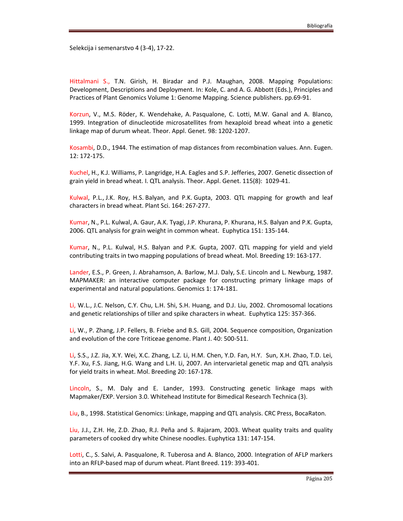Selekcija i semenarstvo 4 (3-4), 17-22.

Hittalmani S., T.N. Girish, H. Biradar and P.J. Maughan, 2008. Mapping Populations: Development, Descriptions and Deployment. In: Kole, C. and A. G. Abbott (Eds.), Principles and Practices of Plant Genomics Volume 1: Genome Mapping. Science publishers. pp.69-91.

Korzun, V., M.S. Röder, K. Wendehake, A. Pasqualone, C. Lotti, M.W. Ganal and A. Blanco, 1999. Integration of dinucleotide microsatellites from hexaploid bread wheat into a genetic linkage map of durum wheat. Theor. Appl. Genet. 98: 1202-1207.

Kosambi, D.D., 1944. The estimation of map distances from recombination values. Ann. Eugen. 12: 172-175.

Kuchel, H., K.J. Williams, P. Langridge, H.A. Eagles and S.P. Jefferies, 2007. Genetic dissection of grain yield in bread wheat. I. QTL analysis. Theor. Appl. Genet. 115(8): 1029-41.

Kulwal, P.L., J.K. Roy, H.S. Balyan, and P.K. Gupta, 2003. QTL mapping for growth and leaf characters in bread wheat. Plant Sci. 164: 267-277.

Kumar, N., P.L. Kulwal, A. Gaur, A.K. Tyagi, J.P. Khurana, P. Khurana, H.S. Balyan and P.K. Gupta, 2006. QTL analysis for grain weight in common wheat. Euphytica 151: 135-144.

Kumar, N., P.L. Kulwal, H.S. Balyan and P.K. Gupta, 2007. QTL mapping for yield and yield contributing traits in two mapping populations of bread wheat. Mol. Breeding 19: 163-177.

Lander, E.S., P. Green, J. Abrahamson, A. Barlow, M.J. Daly, S.E. Lincoln and L. Newburg, 1987. MAPMAKER: an interactive computer package for constructing primary linkage maps of experimental and natural populations. Genomics 1: 174-181.

Li, W.L., J.C. Nelson, C.Y. Chu, L.H. Shi, S.H. Huang, and D.J. Liu, 2002. Chromosomal locations and genetic relationships of tiller and spike characters in wheat. Euphytica 125: 357-366.

Li, W., P. Zhang, J.P. Fellers, B. Friebe and B.S. Gill, 2004. Sequence composition, Organization and evolution of the core Triticeae genome. Plant J. 40: 500-511.

Li, S.S., J.Z. Jia, X.Y. Wei, X.C. Zhang, L.Z. Li, H.M. Chen, Y.D. Fan, H.Y. Sun, X.H. Zhao, T.D. Lei, Y.F. Xu, F.S. Jiang, H.G. Wang and L.H. Li, 2007. An intervarietal genetic map and QTL analysis for yield traits in wheat. Mol. Breeding 20: 167-178.

Lincoln, S., M. Daly and E. Lander, 1993. Constructing genetic linkage maps with Mapmaker/EXP. Version 3.0. Whitehead Institute for Bimedical Research Technica (3).

Liu, B., 1998. Statistical Genomics: Linkage, mapping and QTL analysis. CRC Press, BocaRaton.

Liu, J.J., Z.H. He, Z.D. Zhao, R.J. Peña and S. Rajaram, 2003. Wheat quality traits and quality parameters of cooked dry white Chinese noodles. Euphytica 131: 147-154.

Lotti, C., S. Salvi, A. Pasqualone, R. Tuberosa and A. Blanco, 2000. Integration of AFLP markers into an RFLP-based map of durum wheat. Plant Breed. 119: 393-401.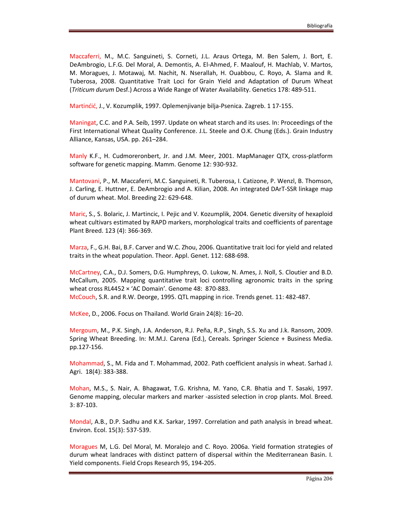Maccaferri, M., M.C. Sanguineti, S. Corneti, J.L. Araus Ortega, M. Ben Salem, J. Bort, E. DeAmbrogio, L.F.G. Del Moral, A. Demontis, A. El-Ahmed, F. Maalouf, H. Machlab, V. Martos, M. Moragues, J. Motawaj, M. Nachit, N. Nserallah, H. Ouabbou, C. Royo, A. Slama and R. Tuberosa, 2008. Quantitative Trait Loci for Grain Yield and Adaptation of Durum Wheat (*Triticum durum* Desf.) Across a Wide Range of Water Availability. Genetics 178: 489-511.

Martinćić, J., V. Kozumplik, 1997. Oplemenjivanje bilja-Psenica. Zagreb. 1 17-155.

Maningat, C.C. and P.A. Seib, 1997. Update on wheat starch and its uses. In: Proceedings of the First International Wheat Quality Conference. J.L. Steele and O.K. Chung (Eds.). Grain Industry Alliance, Kansas, USA. pp. 261–284.

Manly K.F., H. Cudmoreronbert, Jr. and J.M. Meer, 2001. MapManager QTX, cross-platform software for genetic mapping. Mamm. Genome 12: 930-932.

Mantovani, P., M. Maccaferri, M.C. Sanguineti, R. Tuberosa, I. Catizone, P. Wenzl, B. Thomson, J. Carling, E. Huttner, E. DeAmbrogio and A. Kilian, 2008. An integrated DArT-SSR linkage map of durum wheat. Mol. Breeding 22: 629-648.

Maric, S., S. Bolaric, J. Martincic, I. Pejic and V. Kozumplik, 2004. Genetic diversity of hexaploid wheat cultivars estimated by RAPD markers, morphological traits and coefficients of parentage Plant Breed. 123 (4): 366-369.

Marza, F., G.H. Bai, B.F. Carver and W.C. Zhou, 2006. Quantitative trait loci for yield and related traits in the wheat population. Theor. Appl. Genet. 112: 688-698.

McCartney, C.A., D.J. Somers, D.G. Humphreys, O. Lukow, N. Ames, J. Noll, S. Cloutier and B.D. McCallum, 2005. Mapping quantitative trait loci controlling agronomic traits in the spring wheat cross RL4452 × 'AC Domain'. Genome 48: 870-883. McCouch, S.R. and R.W. Deorge, 1995. QTL mapping in rice. Trends genet. 11: 482-487.

McKee, D., 2006. Focus on Thailand. World Grain 24(8): 16–20.

Mergoum, M., P.K. Singh, J.A. Anderson, R.J. Peña, R.P., Singh, S.S. Xu and J.k. Ransom, 2009. Spring Wheat Breeding. In: M.M.J. Carena (Ed.), Cereals. Springer Science + Business Media. pp.127-156.

Mohammad, S., M. Fida and T. Mohammad, 2002. Path coefficient analysis in wheat. Sarhad J. Agri. 18(4): 383-388.

Mohan, M.S., S. Nair, A. Bhagawat, T.G. Krishna, M. Yano, C.R. Bhatia and T. Sasaki, 1997. Genome mapping, olecular markers and marker -assisted selection in crop plants. Mol. Breed. 3: 87-103.

Mondal, A.B., D.P. Sadhu and K.K. Sarkar, 1997. Correlation and path analysis in bread wheat. Environ. Ecol. 15(3): 537-539.

Moragues M, L.G. Del Moral, M. Moralejo and C. Royo. 2006a. Yield formation strategies of durum wheat landraces with distinct pattern of dispersal within the Mediterranean Basin. I. Yield components. Field Crops Research 95, 194-205.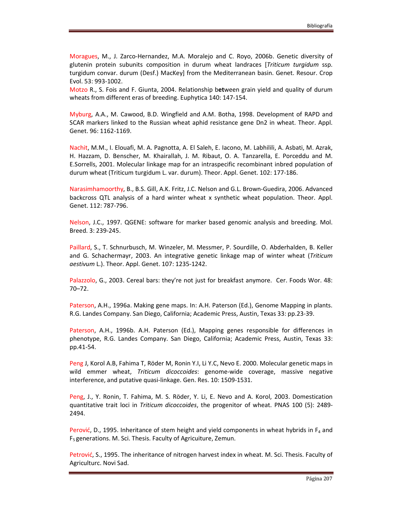Moragues, M., J. Zarco-Hernandez, M.A. Moralejo and C. Royo, 2006b. Genetic diversity of glutenin protein subunits composition in durum wheat landraces [*Triticum turgidum* ssp. turgidum convar. durum (Desf.) MacKey] from the Mediterranean basin. Genet. Resour. Crop Evol. 53: 993-1002.

Motzo R., S. Fois and F. Giunta, 2004. Relationship b**et**ween grain yield and quality of durum wheats from different eras of breeding. Euphytica 140: 147-154.

Myburg, A.A., M. Cawood, B.D. Wingfield and A.M. Botha, 1998. Development of RAPD and SCAR markers linked to the Russian wheat aphid resistance gene Dn2 in wheat. Theor. Appl. Genet. 96: 1162-1169.

Nachit, M.M., I. Elouafi, M. A. Pagnotta, A. El Saleh, E. Iacono, M. Labhilili, A. Asbati, M. Azrak, H. Hazzam, D. Benscher, M. Khairallah, J. M. Ribaut, O. A. Tanzarella, E. Porceddu and M. E.Sorrells, 2001. Molecular linkage map for an intraspecific recombinant inbred population of durum wheat (Triticum turgidum L. var. durum). Theor. Appl. Genet. 102: 177-186.

Narasimhamoorthy, B., B.S. Gill, A.K. Fritz, J.C. Nelson and G.L. Brown-Guedira, 2006. Advanced backcross QTL analysis of a hard winter wheat x synthetic wheat population. Theor. Appl. Genet. 112: 787-796.

Nelson, J.C., 1997. QGENE: software for marker based genomic analysis and breeding. Mol. Breed. 3: 239-245.

Paillard, S., T. Schnurbusch, M. Winzeler, M. Messmer, P. Sourdille, O. Abderhalden, B. Keller and G. Schachermayr, 2003. An integrative genetic linkage map of winter wheat (*Triticum aestivum* L.). Theor. Appl. Genet. 107: 1235-1242.

Palazzolo, G., 2003. Cereal bars: they're not just for breakfast anymore. Cer. Foods Wor. 48: 70–72.

Paterson, A.H., 1996a. Making gene maps. In: A.H. Paterson (Ed.), Genome Mapping in plants. R.G. Landes Company. San Diego, California; Academic Press, Austin, Texas 33: pp.23-39.

Paterson, A.H., 1996b. A.H. Paterson (Ed.), Mapping genes responsible for differences in phenotype, R.G. Landes Company. San Diego, California; Academic Press, Austin, Texas 33: pp.41-54.

Peng J, Korol A.B, Fahima T, Röder M, Ronin Y.I, Li Y.C, Nevo E. 2000. Molecular genetic maps in wild emmer wheat, *Triticum dicoccoides*: genome-wide coverage, massive negative interference, and putative quasi-linkage. Gen. Res. 10: 1509-1531.

Peng, J., Y. Ronin, T. Fahima, M. S. Röder, Y. Li, E. Nevo and A. Korol, 2003. Domestication quantitative trait loci in *Triticum dicoccoides*, the progenitor of wheat. PNAS 100 (5): 2489- 2494.

Perović, D., 1995. Inheritance of stem height and yield components in wheat hybrids in  $F_4$  and F5 generations. M. Sci. Thesis. Faculty of Agricuiture, Zemun.

Petrović, S., 1995. The inheritance of nitrogen harvest index in wheat. M. Sci. Thesis. Faculty of Agriculturc. Novi Sad.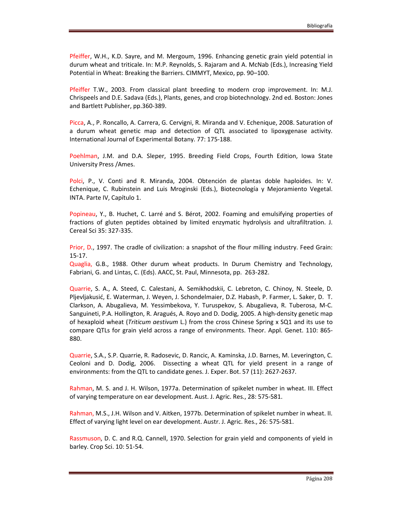Pfeiffer, W.H., K.D. Sayre, and M. Mergoum, 1996. Enhancing genetic grain yield potential in durum wheat and triticale. In: M.P. Reynolds, S. Rajaram and A. McNab (Eds.), Increasing Yield Potential in Wheat: Breaking the Barriers. CIMMYT, Mexico, pp. 90–100.

Pfeiffer T.W., 2003. From classical plant breeding to modern crop improvement. In: M.J. Chrispeels and D.E. Sadava (Eds.), Plants, genes, and crop biotechnology. 2nd ed. Boston: Jones and Bartlett Publisher, pp.360-389.

Picca, A., P. Roncallo, A. Carrera, G. Cervigni, R. Miranda and V. Echenique, 2008. Saturation of a durum wheat genetic map and detection of QTL associated to lipoxygenase activity. International Journal of Experimental Botany. 77: 175-188.

Poehlman, J.M. and D.A. Sleper, 1995. Breeding Field Crops, Fourth Edition, Iowa State University Press /Ames.

Polci, P., V. Conti and R. Miranda, 2004. Obtención de plantas doble haploides. In: V. Echenique, C. Rubinstein and Luis Mroginski (Eds.), Biotecnología y Mejoramiento Vegetal. INTA. Parte IV, Capítulo 1.

Popineau, Y., B. Huchet, C. Larré and S. Bérot, 2002. Foaming and emulsifying properties of fractions of gluten peptides obtained by limited enzymatic hydrolysis and ultrafiltration. J. Cereal Sci 35: 327-335.

Prior, D., 1997. The cradle of civilization: a snapshot of the flour milling industry. Feed Grain: 15-17.

Quaglia, G.B., 1988. Other durum wheat products. In Durum Chemistry and Technology, Fabriani, G. and Lintas, C. (Eds). AACC, St. Paul, Minnesota, pp. 263-282.

Quarrie, S. A., A. Steed, C. Calestani, A. Semikhodskii, C. Lebreton, C. Chinoy, N. Steele, D. Pljevljakusić, E. Waterman, J. Weyen, J. Schondelmaier, D.Z. Habash, P. Farmer, L. Saker, D. T. Clarkson, A. Abugalieva, M. Yessimbekova, Y. Turuspekov, S. Abugalieva, R. Tuberosa, M-C. Sanguineti, P.A. Hollington, R. Aragués, A. Royo and D. Dodig, 2005. A high-density genetic map of hexaploid wheat (*Triticum aestivum* L.) from the cross Chinese Spring x SQ1 and its use to compare QTLs for grain yield across a range of environments. Theor. Appl. Genet. 110: 865- 880.

Quarrie, S.A., S.P. Quarrie, R. Radosevic, D. Rancic, A. Kaminska, J.D. Barnes, M. Leverington, C. Ceoloni and D. Dodig, 2006. Dissecting a wheat QTL for yield present in a range of environments: from the QTL to candidate genes. J. Exper. Bot. 57 (11): 2627-2637.

Rahman, M. S. and J. H. Wilson, 1977a. Determination of spikelet number in wheat. III. Effect of varying temperature on ear development. Aust. J. Agric. Res., 28: 575-581.

Rahman, M.S., J.H. Wilson and V. Aitken, 1977b. Determination of spikelet number in wheat. II. Effect of varying light level on ear development. Austr. J. Agric. Res., 26: 575-581.

Rassmuson, D. C. and R.Q. Cannell, 1970. Selection for grain yield and components of yield in barley. Crop Sci. 10: 51-54.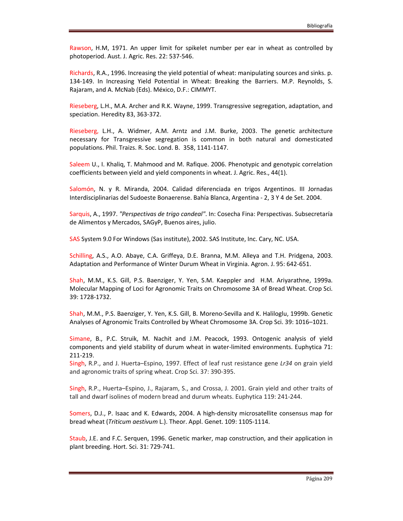Rawson, H.M, 1971. An upper limit for spikelet number per ear in wheat as controlled by photoperiod. Aust. J. Agric. Res. 22: 537-546.

Richards, R.A., 1996. Increasing the yield potential of wheat: manipulating sources and sinks. p. 134-149. In Increasing Yield Potential in Wheat: Breaking the Barriers. M.P. Reynolds, S. Rajaram, and A. McNab (Eds). México, D.F.: CIMMYT.

Rieseberg, L.H., M.A. Archer and R.K. Wayne, 1999. Transgressive segregation, adaptation, and speciation. Heredity 83, 363-372.

Rieseberg, L.H., A. Widmer, A.M. Arntz and J.M. Burke, 2003. The genetic architecture necessary for Transgressive segregation is common in both natural and domesticated populations. Phil. Traizs. R. Soc. Lond. B. 358, 1141-1147.

Saleem U., I. Khaliq, T. Mahmood and M. Rafique. 2006. Phenotypic and genotypic correlation coefficients between yield and yield components in wheat. J. Agric. Res., 44(1).

Salomón, N. y R. Miranda, 2004. Calidad diferenciada en trigos Argentinos. III Jornadas Interdisciplinarias del Sudoeste Bonaerense. Bahía Blanca, Argentina - 2, 3 Y 4 de Set. 2004.

Sarquis, A., 1997. *"Perspectivas de trigo candeal"*. In: Cosecha Fina: Perspectivas. Subsecretaría de Alimentos y Mercados, SAGyP, Buenos aires, julio.

SAS System 9.0 For Windows (Sas institute), 2002. SAS Institute, Inc. Cary, NC. USA.

Schilling, A.S., A.O. Abaye, C.A. Griffeya, D.E. Branna, M.M. Alleya and T.H. Pridgena, 2003. Adaptation and Performance of Winter Durum Wheat in Virginia. Agron. J. 95: 642-651.

Shah, M.M., K.S. Gill, P.S. Baenziger, Y. Yen, S.M. Kaeppler and H.M. Ariyarathne, 1999a. Molecular Mapping of Loci for Agronomic Traits on Chromosome 3A of Bread Wheat. Crop Sci. 39: 1728-1732.

Shah, M.M., P.S. Baenziger, Y. Yen, K.S. Gill, B. Moreno-Sevilla and K. Haliloglu, 1999b. Genetic Analyses of Agronomic Traits Controlled by Wheat Chromosome 3A. Crop Sci. 39: 1016–1021.

Simane, B., P.C. Struik, M. Nachit and J.M. Peacock, 1993. Ontogenic analysis of yield components and yield stability of durum wheat in water-limited environments. Euphytica 71: 211-219.

Singh, R.P., and J. Huerta–Espino, 1997. Effect of leaf rust resistance gene *Lr34* on grain yield and agronomic traits of spring wheat. Crop Sci. 37: 390-395.

Singh, R.P., Huerta–Espino, J., Rajaram, S., and Crossa, J. 2001. Grain yield and other traits of tall and dwarf isolines of modern bread and durum wheats. Euphytica 119: 241-244.

Somers, D.J., P. Isaac and K. Edwards, 2004. A high-density microsatellite consensus map for bread wheat (*Triticum aestivum* L.). Theor. Appl. Genet. 109: 1105-1114.

Staub, J.E. and F.C. Serquen, 1996. Genetic marker, map construction, and their application in plant breeding. Hort. Sci. 31: 729-741.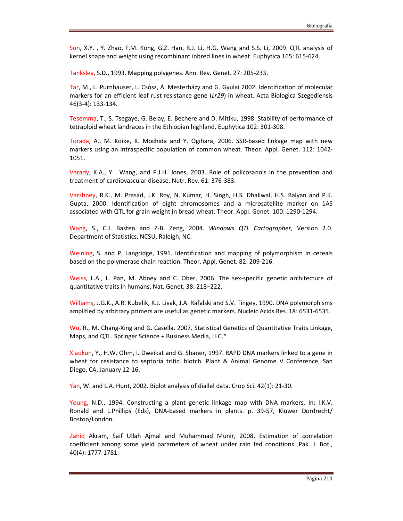Sun, X.Y. , Y. Zhao, F.M. Kong, G.Z. Han, R.J. Li, H.G. Wang and S.S. Li, 2009. QTL analysis of kernel shape and weight using recombinant inbred lines in wheat. Euphytica 165: 615-624.

Tanksley, S.D., 1993. Mapping polygenes. Ann. Rev. Genet. 27: 205-233.

Tar, M., L. Purnhauser, L. Csôsz, Á. Mesterházy and G. Gyulai 2002. Identification of molecular markers for an efficient leaf rust resistance gene (*Lr29*) in wheat. Acta Biologica Szegediensis 46(3-4): 133-134.

Tesemma, T., S. Tsegaye, G. Belay, E. Bechere and D. Mitiku, 1998. Stability of performance of tetraploid wheat landraces in the Ethiopian highland. Euphytica 102: 301-308.

Torada, A., M. Koike, K. Mochida and Y. Ogihara, 2006. SSR-based linkage map with new markers using an intraspecific population of common wheat. Theor. Appl. Genet. 112: 1042- 1051.

Varady, K.A., Y. Wang, and P.J.H. Jones, 2003. Role of policosanols in the prevention and treatment of cardiovascular disease. Nutr. Rev. 61: 376-383.

Varshney, R.K., M. Prasad, J.K. Roy, N. Kumar, H. Singh, H.S. Dhaliwal, H.S. Balyan and P.K. Gupta, 2000. Identification of eight chromosomes and a microsatellite marker on 1AS associated with QTL for grain weight in bread wheat. Theor. Appl. Genet. 100: 1290-1294.

Wang, S., C.J. Basten and Z-B. Zeng, 2004. *Windows QTL Cartographer*, Version 2.0. Department of Statistics, NCSU, Raleigh, NC.

Weining, S. and P. Langridge, 1991. Identification and mapping of polymorphism in cereals based on the polymerase chain reaction. Theor. Appl. Genet. 82: 209-216.

Weiss, L.A., L. Pan, M. Abney and C. Ober, 2006. The sex-specific genetic architecture of quantitative traits in humans. Nat. Genet. 38: 218–222.

Williams, J.G.K., A.R. Kubelik, K.J. Livak, J.A. Rafalski and S.V. Tingey, 1990. DNA polymorphisms amplified by arbitrary primers are useful as genetic markers. Nucleic Acids Res. 18: 6531-6535.

Wu, R., M. Chang-Xing and G. Casella. 2007. Statistical Genetics of Quantitative Traits Linkage, Maps, and QTL. Springer Science + Business Media, LLC.\*

Xiaokun, Y., H.W. Ohm, I. Dweikat and G. Shaner, 1997. RAPD DNA markers linked to a gene in wheat for resistance to septoria tritici blotch. Plant & Animal Genome V Conference, San Diego, CA, January 12-16.

Yan, W. and L.A. Hunt, 2002. Biplot analysis of diallel data. Crop Sci. 42(1): 21-30.

Young, N.D., 1994. Constructing a plant genetic linkage map with DNA markers. In: I.K.V. Ronald and L.Phillips (Eds), DNA-based markers in plants. p. 39-57, Kluwer Dordrecht/ Boston/London.

Zahid Akram, Saif Ullah Ajmal and Muhammad Munir, 2008. Estimation of correlation coefficient among some yield parameters of wheat under rain fed conditions. Pak. J. Bot., 40(4): 1777-1781.